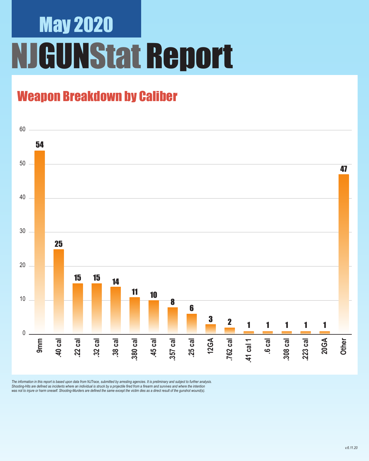## May 2020 NJGUNStat Report

### Weapon Breakdown by Caliber



The information in this report is based upon data from NJTrace, submitted by arresting agencies. It is preliminary and subject to further analysis.<br>Shooting-Hits are defined as incidents where an individual is struck by a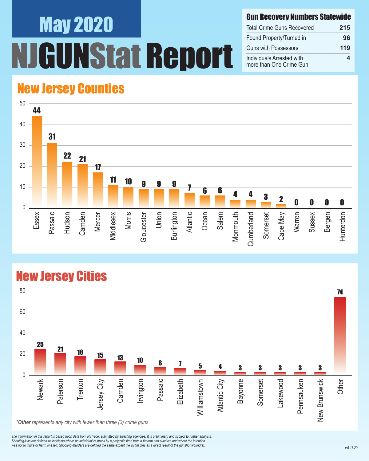# May 2020 UNStat Report

#### Gun Recovery Numbers Statewide

| <b>Total Crime Guns Recovered</b>                    | 215 |
|------------------------------------------------------|-----|
| Found Property/Turned in                             | 96  |
| <b>Guns with Possessors</b>                          | 119 |
| Individuals Arrested with<br>more than One Crime Gun |     |

#### New Jersey Counties



#### New Jersey Cities



*\*Other represents any city with fewer than three (3) crime guns*

*The information in this report is based upon data from NJTrace, submitted by arresting agencies. It is preliminary and subject to further analysis. Shooting-Hits are defined as incidents where an individual is struck by a projectile fired from a firearm and survives and where the intention*  was not to injure or harm oneself. Shooting-Murders are defined the same except the victim dies as a direct result of the gunshot wound(s).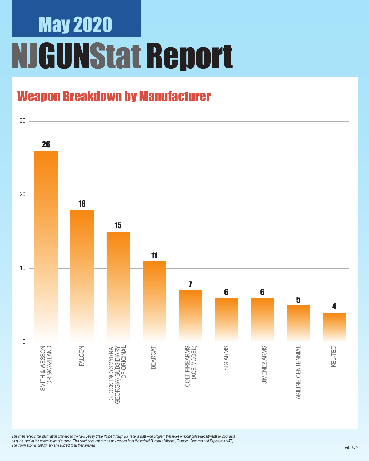## May 2020 NJGUNStat Report

### Weapon Breakdown by Manufacturer



*This chart reflects the information provided to the New Jersey State Police through NJTrace, a statewide program that relies on local police departments to input data on guns used in the commission of a crime. This chart does not rely on any reports from the federal Bureau of Alcohol, Tobacco, Firearms and Explosives (ATF). The information is preliminary and subject to further analysis.*